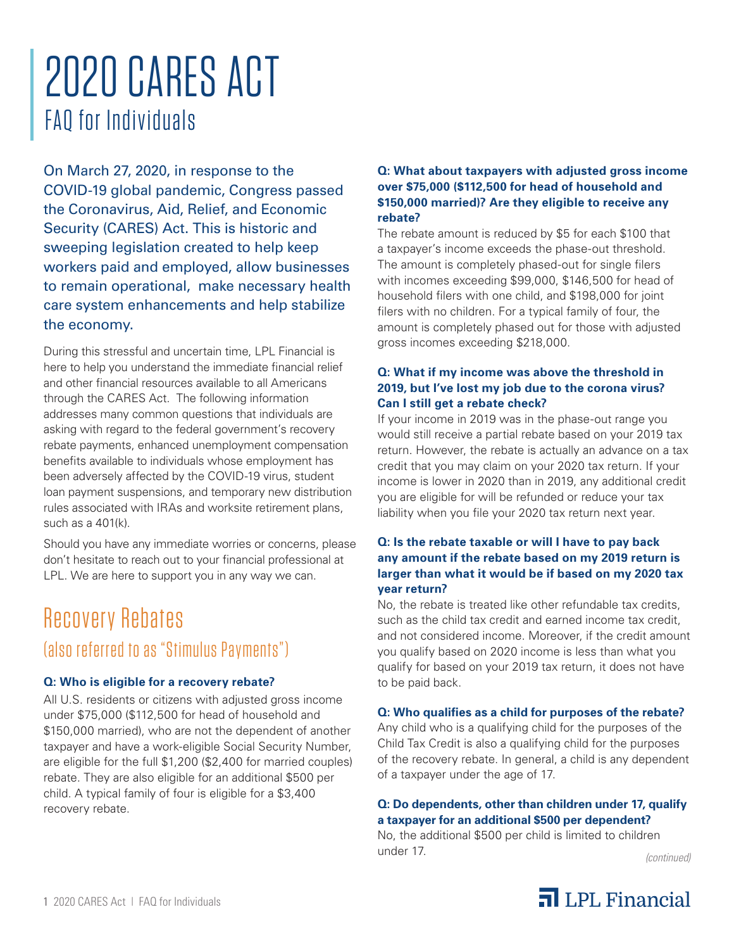# 2020 CARES ACT FAQ for Individuals

On March 27, 2020, in response to the COVID-19 global pandemic, Congress passed the Coronavirus, Aid, Relief, and Economic Security (CARES) Act. This is historic and sweeping legislation created to help keep workers paid and employed, allow businesses to remain operational, make necessary health care system enhancements and help stabilize the economy.

During this stressful and uncertain time, LPL Financial is here to help you understand the immediate financial relief and other financial resources available to all Americans through the CARES Act. The following information addresses many common questions that individuals are asking with regard to the federal government's recovery rebate payments, enhanced unemployment compensation benefits available to individuals whose employment has been adversely affected by the COVID-19 virus, student loan payment suspensions, and temporary new distribution rules associated with IRAs and worksite retirement plans, such as a 401(k).

Should you have any immediate worries or concerns, please don't hesitate to reach out to your financial professional at LPL. We are here to support you in any way we can.

### Recovery Rebates (also referred to as "Stimulus Payments")

#### **Q: Who is eligible for a recovery rebate?**

All U.S. residents or citizens with adjusted gross income under \$75,000 (\$112,500 for head of household and \$150,000 married), who are not the dependent of another taxpayer and have a work-eligible Social Security Number, are eligible for the full \$1,200 (\$2,400 for married couples) rebate. They are also eligible for an additional \$500 per child. A typical family of four is eligible for a \$3,400 recovery rebate.

#### **Q: What about taxpayers with adjusted gross income over \$75,000 (\$112,500 for head of household and \$150,000 married)? Are they eligible to receive any rebate?**

The rebate amount is reduced by \$5 for each \$100 that a taxpayer's income exceeds the phase-out threshold. The amount is completely phased-out for single filers with incomes exceeding \$99,000, \$146,500 for head of household filers with one child, and \$198,000 for joint filers with no children. For a typical family of four, the amount is completely phased out for those with adjusted gross incomes exceeding \$218,000.

#### **Q: What if my income was above the threshold in 2019, but I've lost my job due to the corona virus? Can I still get a rebate check?**

If your income in 2019 was in the phase-out range you would still receive a partial rebate based on your 2019 tax return. However, the rebate is actually an advance on a tax credit that you may claim on your 2020 tax return. If your income is lower in 2020 than in 2019, any additional credit you are eligible for will be refunded or reduce your tax liability when you file your 2020 tax return next year.

#### **Q: Is the rebate taxable or will I have to pay back any amount if the rebate based on my 2019 return is larger than what it would be if based on my 2020 tax year return?**

No, the rebate is treated like other refundable tax credits, such as the child tax credit and earned income tax credit, and not considered income. Moreover, if the credit amount you qualify based on 2020 income is less than what you qualify for based on your 2019 tax return, it does not have to be paid back.

#### **Q: Who qualifies as a child for purposes of the rebate?**

Any child who is a qualifying child for the purposes of the Child Tax Credit is also a qualifying child for the purposes of the recovery rebate. In general, a child is any dependent of a taxpayer under the age of 17.

#### **Q: Do dependents, other than children under 17, qualify a taxpayer for an additional \$500 per dependent?**

No, the additional \$500 per child is limited to children under 17.

*(continued)*

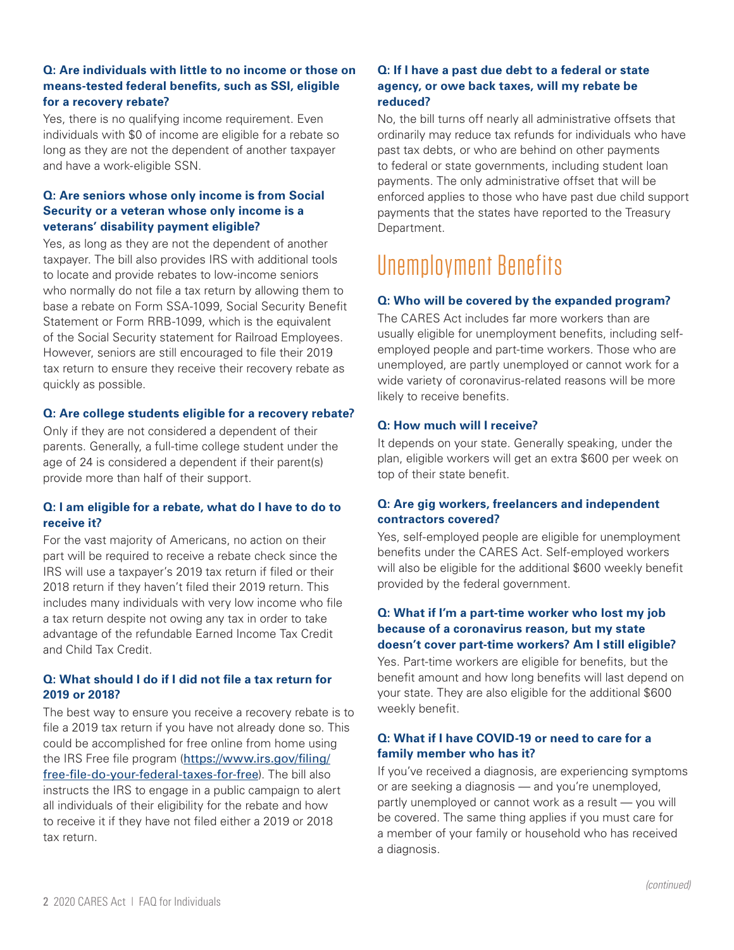#### **Q: Are individuals with little to no income or those on means-tested federal benefits, such as SSI, eligible for a recovery rebate?**

Yes, there is no qualifying income requirement. Even individuals with \$0 of income are eligible for a rebate so long as they are not the dependent of another taxpayer and have a work-eligible SSN.

#### **Q: Are seniors whose only income is from Social Security or a veteran whose only income is a veterans' disability payment eligible?**

Yes, as long as they are not the dependent of another taxpayer. The bill also provides IRS with additional tools to locate and provide rebates to low-income seniors who normally do not file a tax return by allowing them to base a rebate on Form SSA-1099, Social Security Benefit Statement or Form RRB-1099, which is the equivalent of the Social Security statement for Railroad Employees. However, seniors are still encouraged to file their 2019 tax return to ensure they receive their recovery rebate as quickly as possible.

#### **Q: Are college students eligible for a recovery rebate?**

Only if they are not considered a dependent of their parents. Generally, a full-time college student under the age of 24 is considered a dependent if their parent(s) provide more than half of their support.

#### **Q: I am eligible for a rebate, what do I have to do to receive it?**

For the vast majority of Americans, no action on their part will be required to receive a rebate check since the IRS will use a taxpayer's 2019 tax return if filed or their 2018 return if they haven't filed their 2019 return. This includes many individuals with very low income who file a tax return despite not owing any tax in order to take advantage of the refundable Earned Income Tax Credit and Child Tax Credit.

#### **Q: What should I do if I did not file a tax return for 2019 or 2018?**

The best way to ensure you receive a recovery rebate is to file a 2019 tax return if you have not already done so. This could be accomplished for free online from home using the IRS Free file program (https://www.irs.gov/filing/ free-file-do-your-federal-taxes-for-free). The bill also instructs the IRS to engage in a public campaign to alert all individuals of their eligibility for the rebate and how to receive it if they have not filed either a 2019 or 2018 tax return.

#### **Q: If I have a past due debt to a federal or state agency, or owe back taxes, will my rebate be reduced?**

No, the bill turns off nearly all administrative offsets that ordinarily may reduce tax refunds for individuals who have past tax debts, or who are behind on other payments to federal or state governments, including student loan payments. The only administrative offset that will be enforced applies to those who have past due child support payments that the states have reported to the Treasury Department.

## Unemployment Benefits

#### **Q: Who will be covered by the expanded program?**

The CARES Act includes far more workers than are usually eligible for unemployment benefits, including selfemployed people and part-time workers. Those who are unemployed, are partly unemployed or cannot work for a wide variety of coronavirus-related reasons will be more likely to receive benefits.

#### **Q: How much will I receive?**

It depends on your state. Generally speaking, under the plan, eligible workers will get an extra \$600 per week on top of their state benefit.

#### **Q: Are gig workers, freelancers and independent contractors covered?**

Yes, self-employed people are eligible for unemployment benefits under the CARES Act. Self-employed workers will also be eligible for the additional \$600 weekly benefit provided by the federal government.

#### **Q: What if I'm a part-time worker who lost my job because of a coronavirus reason, but my state doesn't cover part-time workers? Am I still eligible?**

Yes. Part-time workers are eligible for benefits, but the benefit amount and how long benefits will last depend on your state. They are also eligible for the additional \$600 weekly benefit.

#### **Q: What if I have COVID-19 or need to care for a family member who has it?**

If you've received a diagnosis, are experiencing symptoms or are seeking a diagnosis — and you're unemployed, partly unemployed or cannot work as a result — you will be covered. The same thing applies if you must care for a member of your family or household who has received a diagnosis.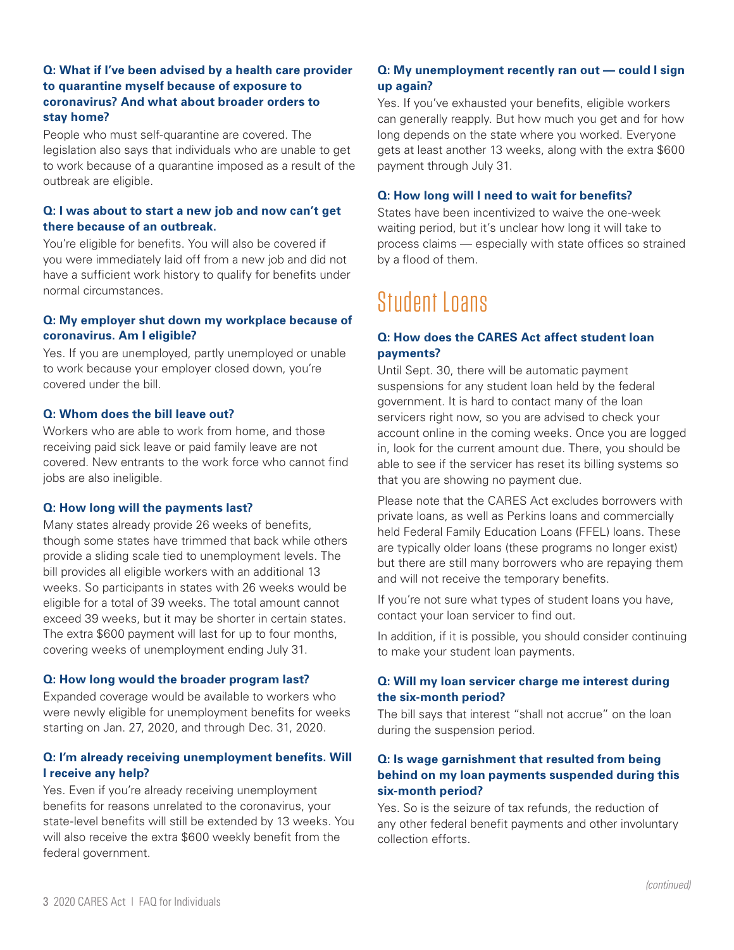#### **Q: What if I've been advised by a health care provider to quarantine myself because of exposure to coronavirus? And what about broader orders to stay home?**

People who must self-quarantine are covered. The legislation also says that individuals who are unable to get to work because of a quarantine imposed as a result of the outbreak are eligible.

#### **Q: I was about to start a new job and now can't get there because of an outbreak.**

You're eligible for benefits. You will also be covered if you were immediately laid off from a new job and did not have a sufficient work history to qualify for benefits under normal circumstances.

#### **Q: My employer shut down my workplace because of coronavirus. Am I eligible?**

Yes. If you are unemployed, partly unemployed or unable to work because your employer closed down, you're covered under the bill.

#### **Q: Whom does the bill leave out?**

Workers who are able to work from home, and those receiving paid sick leave or paid family leave are not covered. New entrants to the work force who cannot find jobs are also ineligible.

#### **Q: How long will the payments last?**

Many states already provide 26 weeks of benefits, though some states have trimmed that back while others provide a sliding scale tied to unemployment levels. The bill provides all eligible workers with an additional 13 weeks. So participants in states with 26 weeks would be eligible for a total of 39 weeks. The total amount cannot exceed 39 weeks, but it may be shorter in certain states. The extra \$600 payment will last for up to four months, covering weeks of unemployment ending July 31.

#### **Q: How long would the broader program last?**

Expanded coverage would be available to workers who were newly eligible for unemployment benefits for weeks starting on Jan. 27, 2020, and through Dec. 31, 2020.

#### **Q: I'm already receiving unemployment benefits. Will I receive any help?**

Yes. Even if you're already receiving unemployment benefits for reasons unrelated to the coronavirus, your state-level benefits will still be extended by 13 weeks. You will also receive the extra \$600 weekly benefit from the federal government.

#### **Q: My unemployment recently ran out — could I sign up again?**

Yes. If you've exhausted your benefits, eligible workers can generally reapply. But how much you get and for how long depends on the state where you worked. Everyone gets at least another 13 weeks, along with the extra \$600 payment through July 31.

#### **Q: How long will I need to wait for benefits?**

States have been incentivized to waive the one-week waiting period, but it's unclear how long it will take to process claims — especially with state offices so strained by a flood of them.

### Student Loans

#### **Q: How does the CARES Act affect student loan payments?**

Until Sept. 30, there will be automatic payment suspensions for any student loan held by the federal government. It is hard to contact many of the loan servicers right now, so you are advised to check your account online in the coming weeks. Once you are logged in, look for the current amount due. There, you should be able to see if the servicer has reset its billing systems so that you are showing no payment due.

Please note that the CARES Act excludes borrowers with private loans, as well as Perkins loans and commercially held Federal Family Education Loans (FFEL) loans. These are typically older loans (these programs no longer exist) but there are still many borrowers who are repaying them and will not receive the temporary benefits.

If you're not sure what types of student loans you have, contact your loan servicer to find out.

In addition, if it is possible, you should consider continuing to make your student loan payments.

#### **Q: Will my loan servicer charge me interest during the six-month period?**

The bill says that interest "shall not accrue" on the loan during the suspension period.

#### **Q: Is wage garnishment that resulted from being behind on my loan payments suspended during this six-month period?**

Yes. So is the seizure of tax refunds, the reduction of any other federal benefit payments and other involuntary collection efforts.